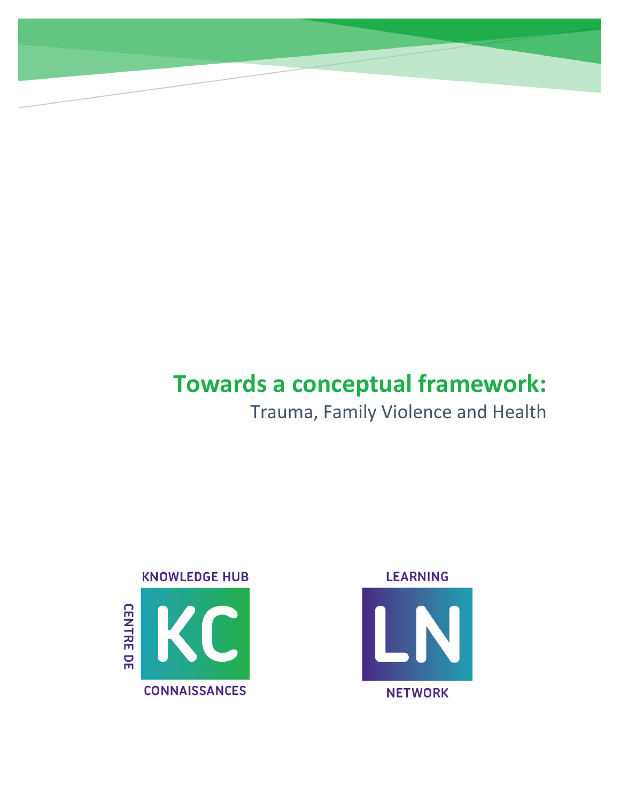# **Towards a conceptual framework:**

## Trauma, Family Violence and Health



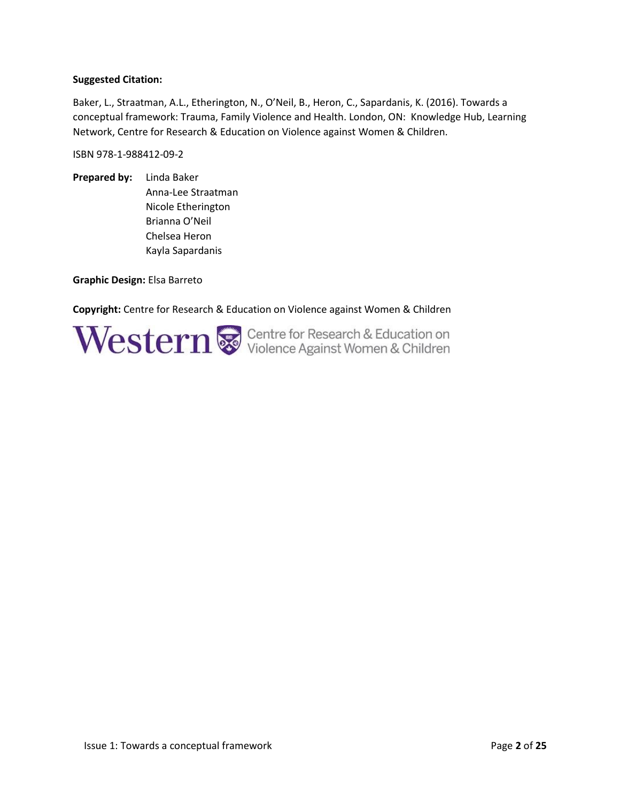#### **Suggested Citation:**

Baker, L., Straatman, A.L., Etherington, N., O'Neil, B., Heron, C., Sapardanis, K. (2016). Towards a conceptual framework: Trauma, Family Violence and Health. London, ON: Knowledge Hub, Learning Network, Centre for Research & Education on Violence against Women & Children.

ISBN 978-1-988412-09-2

**Prepared by:** Linda Baker Anna-Lee Straatman Nicole Etherington Brianna O'Neil Chelsea Heron Kayla Sapardanis

**Graphic Design:** Elsa Barreto

**Copyright:** Centre for Research & Education on Violence against Women & Children

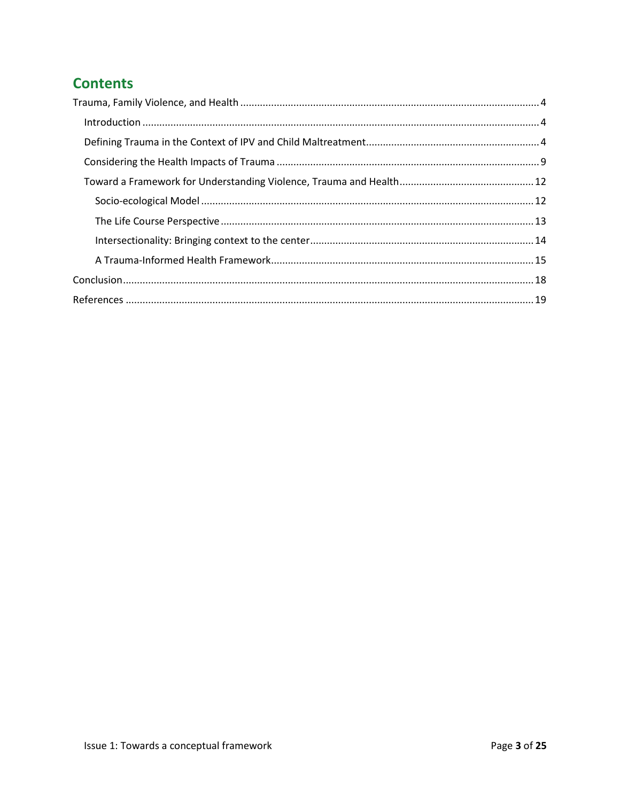## **Contents**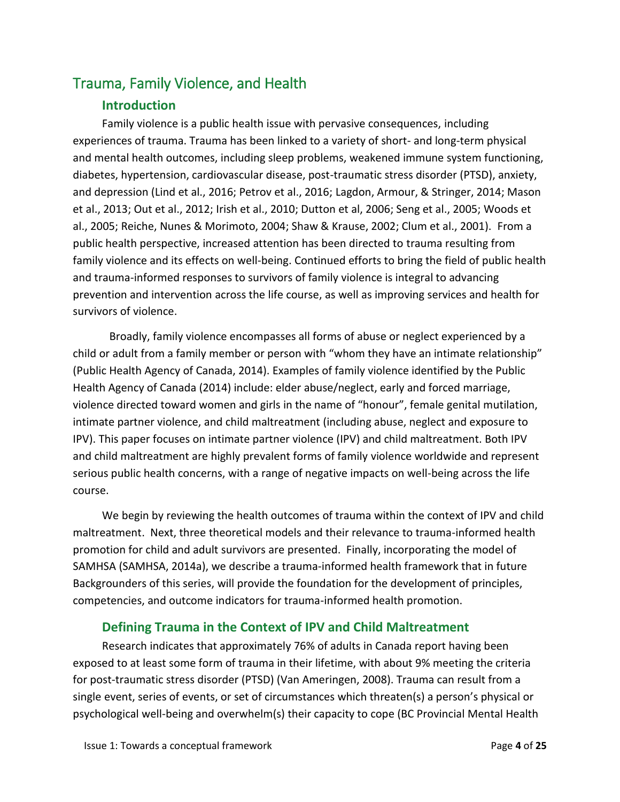## <span id="page-3-1"></span><span id="page-3-0"></span>Trauma, Family Violence, and Health

### **Introduction**

Family violence is a public health issue with pervasive consequences, including experiences of trauma. Trauma has been linked to a variety of short- and long-term physical and mental health outcomes, including sleep problems, weakened immune system functioning, diabetes, hypertension, cardiovascular disease, post-traumatic stress disorder (PTSD), anxiety, and depression (Lind et al., 2016; Petrov et al., 2016; Lagdon, Armour, & Stringer, 2014; Mason et al., 2013; Out et al., 2012; Irish et al., 2010; Dutton et al, 2006; Seng et al., 2005; Woods et al., 2005; Reiche, Nunes & Morimoto, 2004; Shaw & Krause, 2002; Clum et al., 2001). From a public health perspective, increased attention has been directed to trauma resulting from family violence and its effects on well-being. Continued efforts to bring the field of public health and trauma-informed responses to survivors of family violence is integral to advancing prevention and intervention across the life course, as well as improving services and health for survivors of violence.

Broadly, family violence encompasses all forms of abuse or neglect experienced by a child or adult from a family member or person with "whom they have an intimate relationship" (Public Health Agency of Canada, 2014). Examples of family violence identified by the Public Health Agency of Canada (2014) include: elder abuse/neglect, early and forced marriage, violence directed toward women and girls in the name of "honour", female genital mutilation, intimate partner violence, and child maltreatment (including abuse, neglect and exposure to IPV). This paper focuses on intimate partner violence (IPV) and child maltreatment. Both IPV and child maltreatment are highly prevalent forms of family violence worldwide and represent serious public health concerns, with a range of negative impacts on well-being across the life course.

We begin by reviewing the health outcomes of trauma within the context of IPV and child maltreatment. Next, three theoretical models and their relevance to trauma-informed health promotion for child and adult survivors are presented. Finally, incorporating the model of SAMHSA (SAMHSA, 2014a), we describe a trauma-informed health framework that in future Backgrounders of this series, will provide the foundation for the development of principles, competencies, and outcome indicators for trauma-informed health promotion.

#### **Defining Trauma in the Context of IPV and Child Maltreatment**

<span id="page-3-2"></span>Research indicates that approximately 76% of adults in Canada report having been exposed to at least some form of trauma in their lifetime, with about 9% meeting the criteria for post-traumatic stress disorder (PTSD) (Van Ameringen, 2008). Trauma can result from a single event, series of events, or set of circumstances which threaten(s) a person's physical or psychological well-being and overwhelm(s) their capacity to cope (BC Provincial Mental Health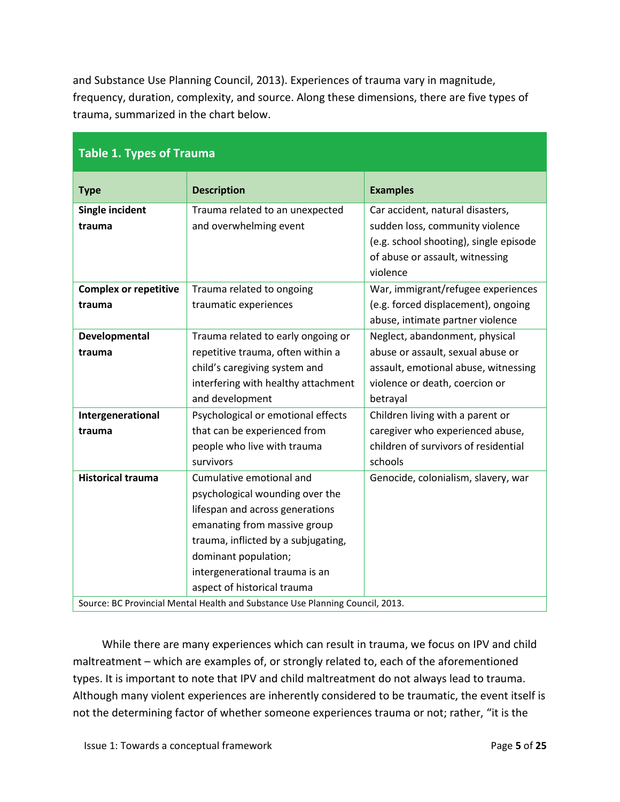and Substance Use Planning Council, 2013). Experiences of trauma vary in magnitude, frequency, duration, complexity, and source. Along these dimensions, there are five types of trauma, summarized in the chart below.

| <b>Table 1. Types of Trauma</b>                                               |                                                                    |                                                                     |  |
|-------------------------------------------------------------------------------|--------------------------------------------------------------------|---------------------------------------------------------------------|--|
| <b>Type</b>                                                                   | <b>Description</b>                                                 | <b>Examples</b>                                                     |  |
| <b>Single incident</b>                                                        | Trauma related to an unexpected                                    | Car accident, natural disasters,                                    |  |
| trauma                                                                        | and overwhelming event                                             | sudden loss, community violence                                     |  |
|                                                                               |                                                                    | (e.g. school shooting), single episode                              |  |
|                                                                               |                                                                    | of abuse or assault, witnessing                                     |  |
|                                                                               |                                                                    | violence                                                            |  |
| <b>Complex or repetitive</b>                                                  | Trauma related to ongoing                                          | War, immigrant/refugee experiences                                  |  |
| trauma                                                                        | traumatic experiences                                              | (e.g. forced displacement), ongoing                                 |  |
|                                                                               |                                                                    | abuse, intimate partner violence                                    |  |
| Developmental<br>trauma                                                       | Trauma related to early ongoing or                                 | Neglect, abandonment, physical<br>abuse or assault, sexual abuse or |  |
|                                                                               | repetitive trauma, often within a<br>child's caregiving system and | assault, emotional abuse, witnessing                                |  |
|                                                                               | interfering with healthy attachment                                | violence or death, coercion or                                      |  |
|                                                                               | and development                                                    | betrayal                                                            |  |
| Intergenerational                                                             | Psychological or emotional effects                                 | Children living with a parent or                                    |  |
| trauma                                                                        | that can be experienced from                                       | caregiver who experienced abuse,                                    |  |
|                                                                               | people who live with trauma                                        | children of survivors of residential                                |  |
|                                                                               | survivors                                                          | schools                                                             |  |
| <b>Historical trauma</b>                                                      | Cumulative emotional and                                           | Genocide, colonialism, slavery, war                                 |  |
|                                                                               | psychological wounding over the                                    |                                                                     |  |
|                                                                               | lifespan and across generations                                    |                                                                     |  |
|                                                                               | emanating from massive group                                       |                                                                     |  |
|                                                                               | trauma, inflicted by a subjugating,                                |                                                                     |  |
|                                                                               | dominant population;                                               |                                                                     |  |
|                                                                               | intergenerational trauma is an                                     |                                                                     |  |
|                                                                               | aspect of historical trauma                                        |                                                                     |  |
| Source: BC Provincial Mental Health and Substance Use Planning Council, 2013. |                                                                    |                                                                     |  |

While there are many experiences which can result in trauma, we focus on IPV and child maltreatment – which are examples of, or strongly related to, each of the aforementioned types. It is important to note that IPV and child maltreatment do not always lead to trauma. Although many violent experiences are inherently considered to be traumatic, the event itself is not the determining factor of whether someone experiences trauma or not; rather, "it is the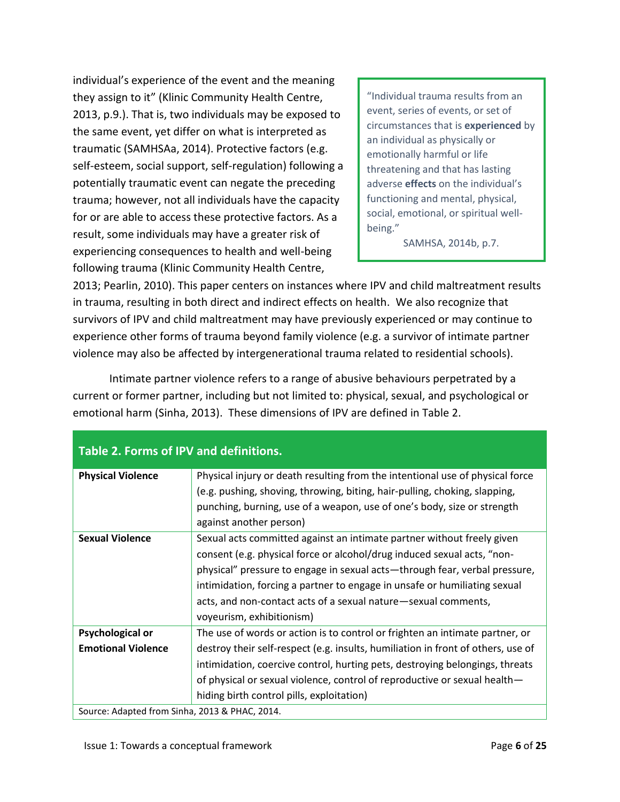individual's experience of the event and the meaning they assign to it" (Klinic Community Health Centre, 2013, p.9.). That is, two individuals may be exposed to the same event, yet differ on what is interpreted as traumatic (SAMHSAa, 2014). Protective factors (e.g. self-esteem, social support, self-regulation) following a potentially traumatic event can negate the preceding trauma; however, not all individuals have the capacity for or are able to access these protective factors. As a result, some individuals may have a greater risk of experiencing consequences to health and well-being following trauma (Klinic Community Health Centre,

"Individual trauma results from an event, series of events, or set of circumstances that is **experienced** by an individual as physically or emotionally harmful or life threatening and that has lasting adverse **effects** on the individual's functioning and mental, physical, social, emotional, or spiritual wellbeing."

SAMHSA, 2014b, p.7.

2013; Pearlin, 2010). This paper centers on instances where IPV and child maltreatment results in trauma, resulting in both direct and indirect effects on health. We also recognize that survivors of IPV and child maltreatment may have previously experienced or may continue to experience other forms of trauma beyond family violence (e.g. a survivor of intimate partner violence may also be affected by intergenerational trauma related to residential schools).

Intimate partner violence refers to a range of abusive behaviours perpetrated by a current or former partner, including but not limited to: physical, sexual, and psychological or emotional harm (Sinha, 2013). These dimensions of IPV are defined in Table 2.

| <b>Physical Violence</b>                       | Physical injury or death resulting from the intentional use of physical force<br>(e.g. pushing, shoving, throwing, biting, hair-pulling, choking, slapping,<br>punching, burning, use of a weapon, use of one's body, size or strength<br>against another person) |
|------------------------------------------------|-------------------------------------------------------------------------------------------------------------------------------------------------------------------------------------------------------------------------------------------------------------------|
| <b>Sexual Violence</b>                         | Sexual acts committed against an intimate partner without freely given                                                                                                                                                                                            |
|                                                | consent (e.g. physical force or alcohol/drug induced sexual acts, "non-                                                                                                                                                                                           |
|                                                | physical" pressure to engage in sexual acts-through fear, verbal pressure,                                                                                                                                                                                        |
|                                                | intimidation, forcing a partner to engage in unsafe or humiliating sexual                                                                                                                                                                                         |
|                                                | acts, and non-contact acts of a sexual nature-sexual comments,                                                                                                                                                                                                    |
|                                                | voyeurism, exhibitionism)                                                                                                                                                                                                                                         |
| <b>Psychological or</b>                        | The use of words or action is to control or frighten an intimate partner, or                                                                                                                                                                                      |
| <b>Emotional Violence</b>                      | destroy their self-respect (e.g. insults, humiliation in front of others, use of                                                                                                                                                                                  |
|                                                | intimidation, coercive control, hurting pets, destroying belongings, threats                                                                                                                                                                                      |
|                                                | of physical or sexual violence, control of reproductive or sexual health-                                                                                                                                                                                         |
|                                                | hiding birth control pills, exploitation)                                                                                                                                                                                                                         |
| Source: Adapted from Sinha, 2013 & PHAC, 2014. |                                                                                                                                                                                                                                                                   |

#### **Table 2. Forms of IPV and definitions.**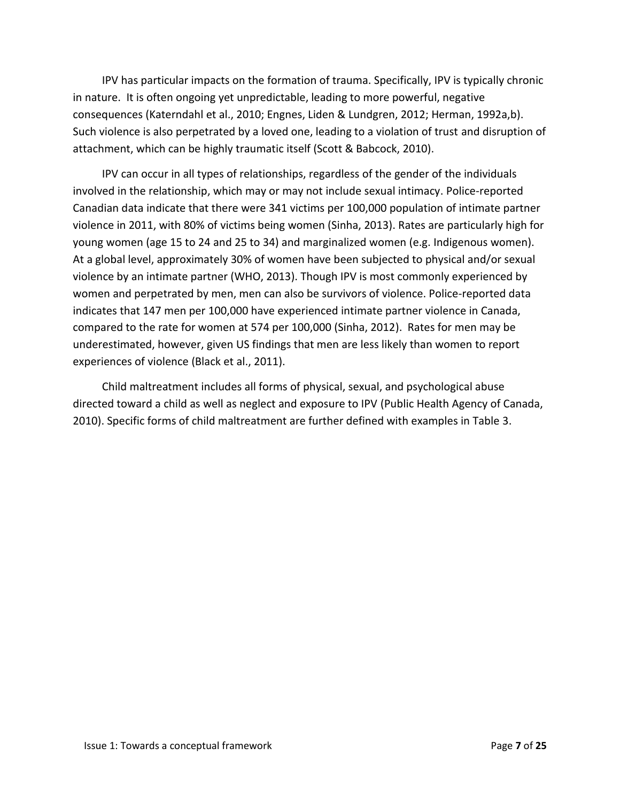IPV has particular impacts on the formation of trauma. Specifically, IPV is typically chronic in nature. It is often ongoing yet unpredictable, leading to more powerful, negative consequences (Katerndahl et al., 2010; Engnes, Liden & Lundgren, 2012; Herman, 1992a,b). Such violence is also perpetrated by a loved one, leading to a violation of trust and disruption of attachment, which can be highly traumatic itself (Scott & Babcock, 2010).

IPV can occur in all types of relationships, regardless of the gender of the individuals involved in the relationship, which may or may not include sexual intimacy. Police-reported Canadian data indicate that there were 341 victims per 100,000 population of intimate partner violence in 2011, with 80% of victims being women (Sinha, 2013). Rates are particularly high for young women (age 15 to 24 and 25 to 34) and marginalized women (e.g. Indigenous women). At a global level, approximately 30% of women have been subjected to physical and/or sexual violence by an intimate partner (WHO, 2013). Though IPV is most commonly experienced by women and perpetrated by men, men can also be survivors of violence. Police-reported data indicates that 147 men per 100,000 have experienced intimate partner violence in Canada, compared to the rate for women at 574 per 100,000 (Sinha, 2012). Rates for men may be underestimated, however, given US findings that men are less likely than women to report experiences of violence (Black et al., 2011).

Child maltreatment includes all forms of physical, sexual, and psychological abuse directed toward a child as well as neglect and exposure to IPV (Public Health Agency of Canada, 2010). Specific forms of child maltreatment are further defined with examples in Table 3.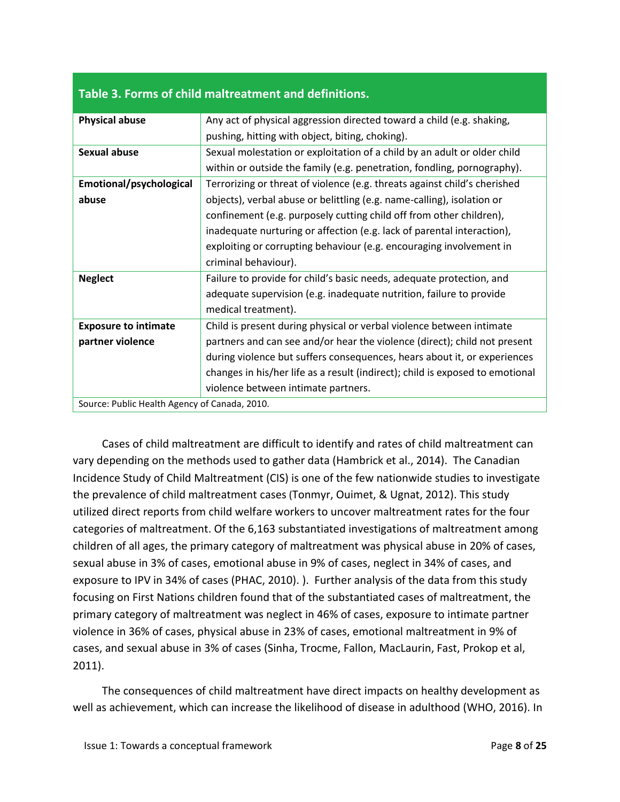| <b>Physical abuse</b>                         | Any act of physical aggression directed toward a child (e.g. shaking,         |
|-----------------------------------------------|-------------------------------------------------------------------------------|
|                                               | pushing, hitting with object, biting, choking).                               |
| Sexual abuse                                  | Sexual molestation or exploitation of a child by an adult or older child      |
|                                               | within or outside the family (e.g. penetration, fondling, pornography).       |
| Emotional/psychological                       | Terrorizing or threat of violence (e.g. threats against child's cherished     |
| abuse                                         | objects), verbal abuse or belittling (e.g. name-calling), isolation or        |
|                                               | confinement (e.g. purposely cutting child off from other children),           |
|                                               | inadequate nurturing or affection (e.g. lack of parental interaction),        |
|                                               | exploiting or corrupting behaviour (e.g. encouraging involvement in           |
|                                               | criminal behaviour).                                                          |
| <b>Neglect</b>                                | Failure to provide for child's basic needs, adequate protection, and          |
|                                               | adequate supervision (e.g. inadequate nutrition, failure to provide           |
|                                               | medical treatment).                                                           |
| <b>Exposure to intimate</b>                   | Child is present during physical or verbal violence between intimate          |
| partner violence                              | partners and can see and/or hear the violence (direct); child not present     |
|                                               | during violence but suffers consequences, hears about it, or experiences      |
|                                               | changes in his/her life as a result (indirect); child is exposed to emotional |
|                                               | violence between intimate partners.                                           |
| Source: Public Health Agency of Canada, 2010. |                                                                               |

#### **Table 3. Forms of child maltreatment and definitions.**

Cases of child maltreatment are difficult to identify and rates of child maltreatment can vary depending on the methods used to gather data (Hambrick et al., 2014). The Canadian Incidence Study of Child Maltreatment (CIS) is one of the few nationwide studies to investigate the prevalence of child maltreatment cases (Tonmyr, Ouimet, & Ugnat, 2012). This study utilized direct reports from child welfare workers to uncover maltreatment rates for the four categories of maltreatment. Of the 6,163 substantiated investigations of maltreatment among children of all ages, the primary category of maltreatment was physical abuse in 20% of cases, sexual abuse in 3% of cases, emotional abuse in 9% of cases, neglect in 34% of cases, and exposure to IPV in 34% of cases (PHAC, 2010). ). Further analysis of the data from this study focusing on First Nations children found that of the substantiated cases of maltreatment, the primary category of maltreatment was neglect in 46% of cases, exposure to intimate partner violence in 36% of cases, physical abuse in 23% of cases, emotional maltreatment in 9% of cases, and sexual abuse in 3% of cases (Sinha, Trocme, Fallon, MacLaurin, Fast, Prokop et al, 2011).

The consequences of child maltreatment have direct impacts on healthy development as well as achievement, which can increase the likelihood of disease in adulthood (WHO, 2016). In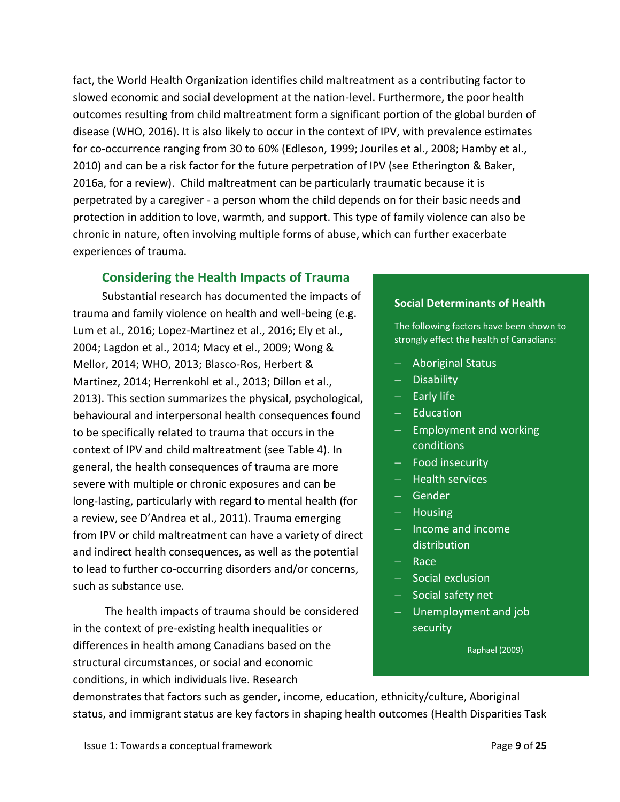fact, the World Health Organization identifies child maltreatment as a contributing factor to slowed economic and social development at the nation-level. Furthermore, the poor health outcomes resulting from child maltreatment form a significant portion of the global burden of disease (WHO, 2016). It is also likely to occur in the context of IPV, with prevalence estimates for co-occurrence ranging from 30 to 60% (Edleson, 1999; Jouriles et al., 2008; Hamby et al., 2010) and can be a risk factor for the future perpetration of IPV (see Etherington & Baker, 2016a, for a review). Child maltreatment can be particularly traumatic because it is perpetrated by a caregiver - a person whom the child depends on for their basic needs and protection in addition to love, warmth, and support. This type of family violence can also be chronic in nature, often involving multiple forms of abuse, which can further exacerbate experiences of trauma.

### <span id="page-8-0"></span>**Considering the Health Impacts of Trauma**

Substantial research has documented the impacts of trauma and family violence on health and well-being (e.g. Lum et al., 2016; Lopez-Martinez et al., 2016; Ely et al., 2004; Lagdon et al., 2014; Macy et el., 2009; Wong & Mellor, 2014; WHO, 2013; Blasco-Ros, Herbert & Martinez, 2014; Herrenkohl et al., 2013; Dillon et al., 2013). This section summarizes the physical, psychological, behavioural and interpersonal health consequences found to be specifically related to trauma that occurs in the context of IPV and child maltreatment (see Table 4). In general, the health consequences of trauma are more severe with multiple or chronic exposures and can be long-lasting, particularly with regard to mental health (for a review, see D'Andrea et al., 2011). Trauma emerging from IPV or child maltreatment can have a variety of direct and indirect health consequences, as well as the potential to lead to further co-occurring disorders and/or concerns, such as substance use.

The health impacts of trauma should be considered in the context of pre-existing health inequalities or differences in health among Canadians based on the structural circumstances, or social and economic conditions, in which individuals live. Research

#### **Social Determinants of Health**

The following factors have been shown to strongly effect the health of Canadians:

- Aboriginal Status
- Disability
- $-$  Early life
- $-$  Education
- $-$  Employment and working conditions
- $-$  Food insecurity
- $-$  Health services
- Gender
- $-$  Housing
- $-$  Income and income distribution
- Race
- $-$  Social exclusion
- $-$  Social safety net
- Unemployment and job security

Raphael (2009)

demonstrates that factors such as gender, income, education, ethnicity/culture, Aboriginal status, and immigrant status are key factors in shaping health outcomes (Health Disparities Task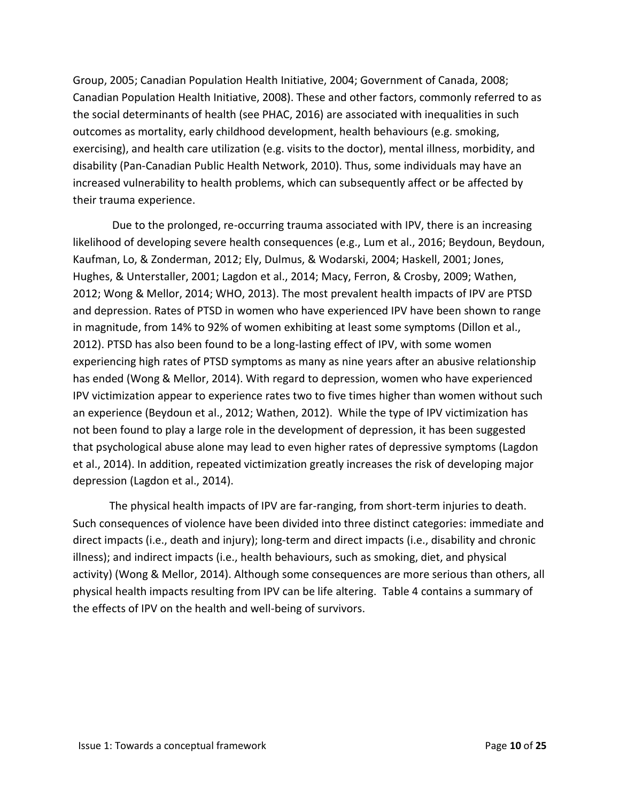Group, 2005; Canadian Population Health Initiative, 2004; Government of Canada, 2008; Canadian Population Health Initiative, 2008). These and other factors, commonly referred to as the social determinants of health (see PHAC, 2016) are associated with inequalities in such outcomes as mortality, early childhood development, health behaviours (e.g. smoking, exercising), and health care utilization (e.g. visits to the doctor), mental illness, morbidity, and disability (Pan-Canadian Public Health Network, 2010). Thus, some individuals may have an increased vulnerability to health problems, which can subsequently affect or be affected by their trauma experience.

Due to the prolonged, re-occurring trauma associated with IPV, there is an increasing likelihood of developing severe health consequences (e.g., Lum et al., 2016; Beydoun, Beydoun, Kaufman, Lo, & Zonderman, 2012; Ely, Dulmus, & Wodarski, 2004; Haskell, 2001; Jones, Hughes, & Unterstaller, 2001; Lagdon et al., 2014; Macy, Ferron, & Crosby, 2009; Wathen, 2012; Wong & Mellor, 2014; WHO, 2013). The most prevalent health impacts of IPV are PTSD and depression. Rates of PTSD in women who have experienced IPV have been shown to range in magnitude, from 14% to 92% of women exhibiting at least some symptoms (Dillon et al., 2012). PTSD has also been found to be a long-lasting effect of IPV, with some women experiencing high rates of PTSD symptoms as many as nine years after an abusive relationship has ended (Wong & Mellor, 2014). With regard to depression, women who have experienced IPV victimization appear to experience rates two to five times higher than women without such an experience (Beydoun et al., 2012; Wathen, 2012). While the type of IPV victimization has not been found to play a large role in the development of depression, it has been suggested that psychological abuse alone may lead to even higher rates of depressive symptoms (Lagdon et al., 2014). In addition, repeated victimization greatly increases the risk of developing major depression (Lagdon et al., 2014).

The physical health impacts of IPV are far-ranging, from short-term injuries to death. Such consequences of violence have been divided into three distinct categories: immediate and direct impacts (i.e., death and injury); long-term and direct impacts (i.e., disability and chronic illness); and indirect impacts (i.e., health behaviours, such as smoking, diet, and physical activity) (Wong & Mellor, 2014). Although some consequences are more serious than others, all physical health impacts resulting from IPV can be life altering. Table 4 contains a summary of the effects of IPV on the health and well-being of survivors.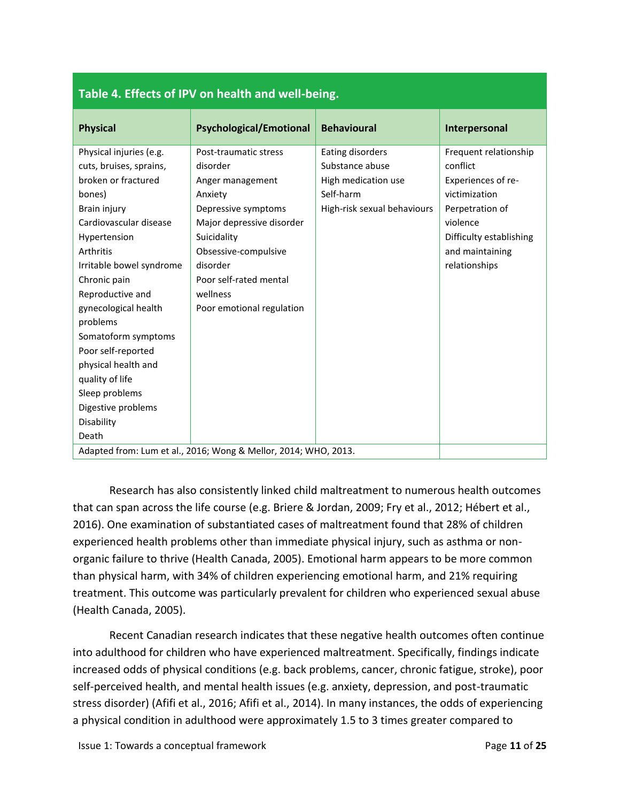| <b>Physical</b>          | <b>Psychological/Emotional</b>                                  | <b>Behavioural</b>          | Interpersonal           |
|--------------------------|-----------------------------------------------------------------|-----------------------------|-------------------------|
| Physical injuries (e.g.  | Post-traumatic stress                                           | Eating disorders            | Frequent relationship   |
| cuts, bruises, sprains,  | disorder                                                        | Substance abuse             | conflict                |
| broken or fractured      | Anger management                                                | High medication use         | Experiences of re-      |
| bones)                   | Anxiety                                                         | Self-harm                   | victimization           |
| Brain injury             | Depressive symptoms                                             | High-risk sexual behaviours | Perpetration of         |
| Cardiovascular disease   | Major depressive disorder                                       |                             | violence                |
| Hypertension             | Suicidality                                                     |                             | Difficulty establishing |
| Arthritis                | Obsessive-compulsive                                            |                             | and maintaining         |
| Irritable bowel syndrome | disorder                                                        |                             | relationships           |
| Chronic pain             | Poor self-rated mental                                          |                             |                         |
| Reproductive and         | wellness                                                        |                             |                         |
| gynecological health     | Poor emotional regulation                                       |                             |                         |
| problems                 |                                                                 |                             |                         |
| Somatoform symptoms      |                                                                 |                             |                         |
| Poor self-reported       |                                                                 |                             |                         |
| physical health and      |                                                                 |                             |                         |
| quality of life          |                                                                 |                             |                         |
| Sleep problems           |                                                                 |                             |                         |
| Digestive problems       |                                                                 |                             |                         |
| Disability               |                                                                 |                             |                         |
| Death                    |                                                                 |                             |                         |
|                          | Adapted from: Lum et al., 2016; Wong & Mellor, 2014; WHO, 2013. |                             |                         |

#### **Table 4. Effects of IPV on health and well-being.**

Research has also consistently linked child maltreatment to numerous health outcomes that can span across the life course (e.g. Briere & Jordan, 2009; Fry et al., 2012; Hébert et al., 2016). One examination of substantiated cases of maltreatment found that 28% of children experienced health problems other than immediate physical injury, such as asthma or nonorganic failure to thrive (Health Canada, 2005). Emotional harm appears to be more common than physical harm, with 34% of children experiencing emotional harm, and 21% requiring treatment. This outcome was particularly prevalent for children who experienced sexual abuse (Health Canada, 2005).

Recent Canadian research indicates that these negative health outcomes often continue into adulthood for children who have experienced maltreatment. Specifically, findings indicate increased odds of physical conditions (e.g. back problems, cancer, chronic fatigue, stroke), poor self-perceived health, and mental health issues (e.g. anxiety, depression, and post-traumatic stress disorder) (Afifi et al., 2016; Afifi et al., 2014). In many instances, the odds of experiencing a physical condition in adulthood were approximately 1.5 to 3 times greater compared to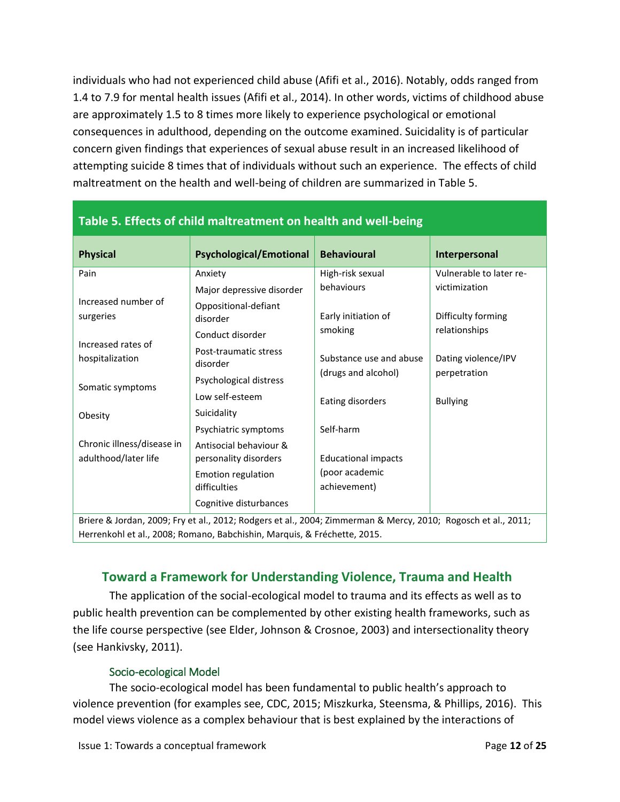individuals who had not experienced child abuse (Afifi et al., 2016). Notably, odds ranged from 1.4 to 7.9 for mental health issues (Afifi et al., 2014). In other words, victims of childhood abuse are approximately 1.5 to 8 times more likely to experience psychological or emotional consequences in adulthood, depending on the outcome examined. Suicidality is of particular concern given findings that experiences of sexual abuse result in an increased likelihood of attempting suicide 8 times that of individuals without such an experience. The effects of child maltreatment on the health and well-being of children are summarized in Table 5.

| Table 5. Effects of child maitreatment on nealth and Well-being                                               |                                                 |                                |                         |  |
|---------------------------------------------------------------------------------------------------------------|-------------------------------------------------|--------------------------------|-------------------------|--|
| <b>Physical</b>                                                                                               | <b>Psychological/Emotional</b>                  | <b>Behavioural</b>             | Interpersonal           |  |
| Pain                                                                                                          | Anxiety                                         | High-risk sexual               | Vulnerable to later re- |  |
|                                                                                                               | Major depressive disorder                       | behaviours                     | victimization           |  |
| Increased number of<br>surgeries                                                                              | Oppositional-defiant<br>disorder                | Early initiation of            | Difficulty forming      |  |
|                                                                                                               | Conduct disorder                                | smoking                        | relationships           |  |
| Increased rates of<br>hospitalization                                                                         | Post-traumatic stress<br>disorder               | Substance use and abuse        | Dating violence/IPV     |  |
| Somatic symptoms                                                                                              | Psychological distress                          | (drugs and alcohol)            | perpetration            |  |
|                                                                                                               | Low self-esteem                                 | Eating disorders               | <b>Bullying</b>         |  |
| Obesity                                                                                                       | Suicidality                                     |                                |                         |  |
|                                                                                                               | Psychiatric symptoms                            | Self-harm                      |                         |  |
| Chronic illness/disease in<br>adulthood/later life                                                            | Antisocial behaviour &<br>personality disorders | <b>Educational impacts</b>     |                         |  |
|                                                                                                               | <b>Emotion regulation</b><br>difficulties       | (poor academic<br>achievement) |                         |  |
|                                                                                                               | Cognitive disturbances                          |                                |                         |  |
| Briere & Jordan, 2009; Fry et al., 2012; Rodgers et al., 2004; Zimmerman & Mercy, 2010; Rogosch et al., 2011; |                                                 |                                |                         |  |
| Herrenkohl et al., 2008; Romano, Babchishin, Marquis, & Fréchette, 2015.                                      |                                                 |                                |                         |  |

## **Table 5. Effects of child maltreatment on health and well-being**

#### **Toward a Framework for Understanding Violence, Trauma and Health**

<span id="page-11-0"></span>The application of the social-ecological model to trauma and its effects as well as to public health prevention can be complemented by other existing health frameworks, such as the life course perspective (see Elder, Johnson & Crosnoe, 2003) and intersectionality theory (see Hankivsky, 2011).

#### Socio-ecological Model

<span id="page-11-1"></span>The socio-ecological model has been fundamental to public health's approach to violence prevention (for examples see, CDC, 2015; Miszkurka, Steensma, & Phillips, 2016). This model views violence as a complex behaviour that is best explained by the interactions of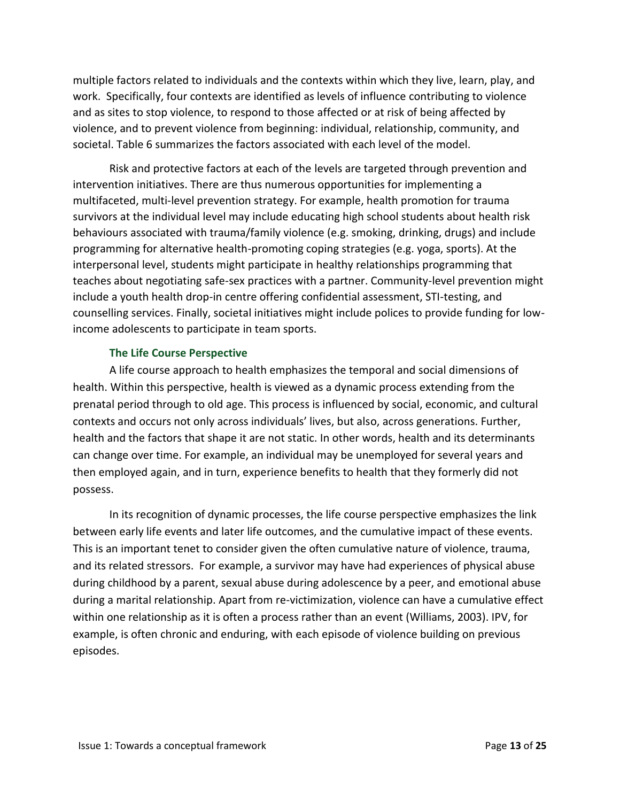multiple factors related to individuals and the contexts within which they live, learn, play, and work. Specifically, four contexts are identified as levels of influence contributing to violence and as sites to stop violence, to respond to those affected or at risk of being affected by violence, and to prevent violence from beginning: individual, relationship, community, and societal. Table 6 summarizes the factors associated with each level of the model.

Risk and protective factors at each of the levels are targeted through prevention and intervention initiatives. There are thus numerous opportunities for implementing a multifaceted, multi-level prevention strategy. For example, health promotion for trauma survivors at the individual level may include educating high school students about health risk behaviours associated with trauma/family violence (e.g. smoking, drinking, drugs) and include programming for alternative health-promoting coping strategies (e.g. yoga, sports). At the interpersonal level, students might participate in healthy relationships programming that teaches about negotiating safe-sex practices with a partner. Community-level prevention might include a youth health drop-in centre offering confidential assessment, STI-testing, and counselling services. Finally, societal initiatives might include polices to provide funding for lowincome adolescents to participate in team sports.

#### **The Life Course Perspective**

<span id="page-12-0"></span>A life course approach to health emphasizes the temporal and social dimensions of health. Within this perspective, health is viewed as a dynamic process extending from the prenatal period through to old age. This process is influenced by social, economic, and cultural contexts and occurs not only across individuals' lives, but also, across generations. Further, health and the factors that shape it are not static. In other words, health and its determinants can change over time. For example, an individual may be unemployed for several years and then employed again, and in turn, experience benefits to health that they formerly did not possess.

In its recognition of dynamic processes, the life course perspective emphasizes the link between early life events and later life outcomes, and the cumulative impact of these events. This is an important tenet to consider given the often cumulative nature of violence, trauma, and its related stressors. For example, a survivor may have had experiences of physical abuse during childhood by a parent, sexual abuse during adolescence by a peer, and emotional abuse during a marital relationship. Apart from re-victimization, violence can have a cumulative effect within one relationship as it is often a process rather than an event (Williams, 2003). IPV, for example, is often chronic and enduring, with each episode of violence building on previous episodes.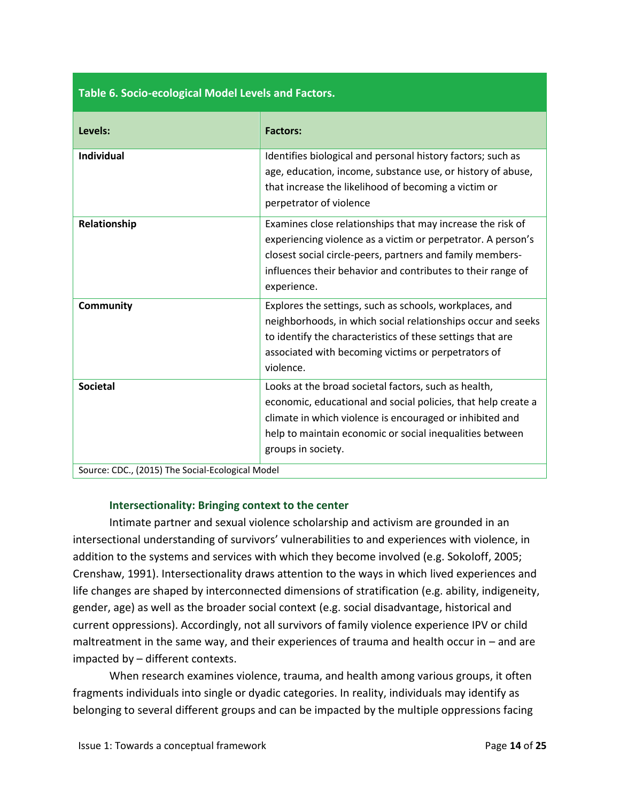| Table 6. Socio-ecological Model Levels and Factors. |                                                                                                                                                                                                                                                                       |  |  |
|-----------------------------------------------------|-----------------------------------------------------------------------------------------------------------------------------------------------------------------------------------------------------------------------------------------------------------------------|--|--|
| Levels:                                             | <b>Factors:</b>                                                                                                                                                                                                                                                       |  |  |
| <b>Individual</b>                                   | Identifies biological and personal history factors; such as<br>age, education, income, substance use, or history of abuse,<br>that increase the likelihood of becoming a victim or<br>perpetrator of violence                                                         |  |  |
| Relationship                                        | Examines close relationships that may increase the risk of<br>experiencing violence as a victim or perpetrator. A person's<br>closest social circle-peers, partners and family members-<br>influences their behavior and contributes to their range of<br>experience. |  |  |
| Community                                           | Explores the settings, such as schools, workplaces, and<br>neighborhoods, in which social relationships occur and seeks<br>to identify the characteristics of these settings that are<br>associated with becoming victims or perpetrators of<br>violence.             |  |  |
| <b>Societal</b>                                     | Looks at the broad societal factors, such as health,<br>economic, educational and social policies, that help create a<br>climate in which violence is encouraged or inhibited and<br>help to maintain economic or social inequalities between<br>groups in society.   |  |  |
| Source: CDC., (2015) The Social-Ecological Model    |                                                                                                                                                                                                                                                                       |  |  |

#### **Intersectionality: Bringing context to the center**

<span id="page-13-0"></span>Intimate partner and sexual violence scholarship and activism are grounded in an intersectional understanding of survivors' vulnerabilities to and experiences with violence, in addition to the systems and services with which they become involved (e.g. Sokoloff, 2005; Crenshaw, 1991). Intersectionality draws attention to the ways in which lived experiences and life changes are shaped by interconnected dimensions of stratification (e.g. ability, indigeneity, gender, age) as well as the broader social context (e.g. social disadvantage, historical and current oppressions). Accordingly, not all survivors of family violence experience IPV or child maltreatment in the same way, and their experiences of trauma and health occur in – and are impacted by – different contexts.

When research examines violence, trauma, and health among various groups, it often fragments individuals into single or dyadic categories. In reality, individuals may identify as belonging to several different groups and can be impacted by the multiple oppressions facing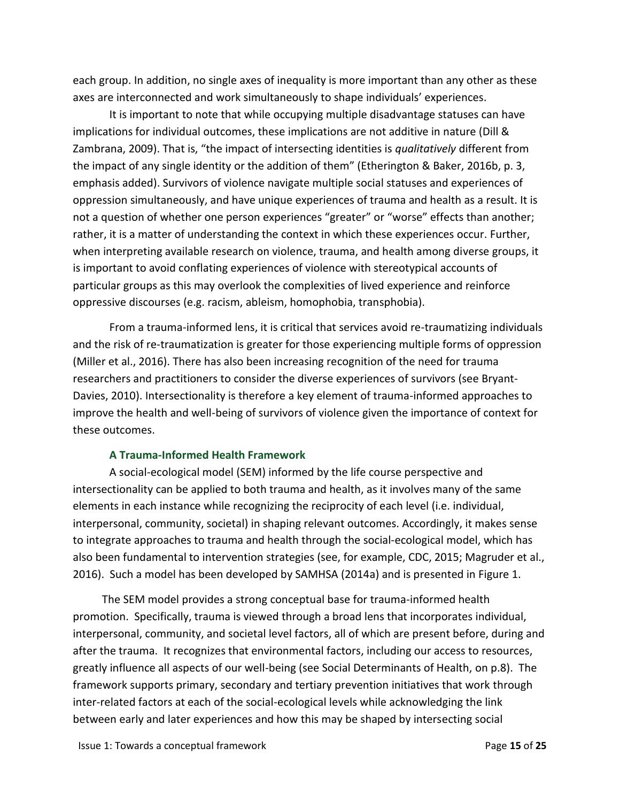each group. In addition, no single axes of inequality is more important than any other as these axes are interconnected and work simultaneously to shape individuals' experiences.

It is important to note that while occupying multiple disadvantage statuses can have implications for individual outcomes, these implications are not additive in nature (Dill & Zambrana, 2009). That is, "the impact of intersecting identities is *qualitatively* different from the impact of any single identity or the addition of them" (Etherington & Baker, 2016b, p. 3, emphasis added). Survivors of violence navigate multiple social statuses and experiences of oppression simultaneously, and have unique experiences of trauma and health as a result. It is not a question of whether one person experiences "greater" or "worse" effects than another; rather, it is a matter of understanding the context in which these experiences occur. Further, when interpreting available research on violence, trauma, and health among diverse groups, it is important to avoid conflating experiences of violence with stereotypical accounts of particular groups as this may overlook the complexities of lived experience and reinforce oppressive discourses (e.g. racism, ableism, homophobia, transphobia).

From a trauma-informed lens, it is critical that services avoid re-traumatizing individuals and the risk of re-traumatization is greater for those experiencing multiple forms of oppression (Miller et al., 2016). There has also been increasing recognition of the need for trauma researchers and practitioners to consider the diverse experiences of survivors (see Bryant-Davies, 2010). Intersectionality is therefore a key element of trauma-informed approaches to improve the health and well-being of survivors of violence given the importance of context for these outcomes.

#### **A Trauma-Informed Health Framework**

<span id="page-14-0"></span>A social-ecological model (SEM) informed by the life course perspective and intersectionality can be applied to both trauma and health, as it involves many of the same elements in each instance while recognizing the reciprocity of each level (i.e. individual, interpersonal, community, societal) in shaping relevant outcomes. Accordingly, it makes sense to integrate approaches to trauma and health through the social-ecological model, which has also been fundamental to intervention strategies (see, for example, CDC, 2015; Magruder et al., 2016). Such a model has been developed by SAMHSA (2014a) and is presented in Figure 1.

The SEM model provides a strong conceptual base for trauma-informed health promotion. Specifically, trauma is viewed through a broad lens that incorporates individual, interpersonal, community, and societal level factors, all of which are present before, during and after the trauma. It recognizes that environmental factors, including our access to resources, greatly influence all aspects of our well-being (see Social Determinants of Health, on p.8). The framework supports primary, secondary and tertiary prevention initiatives that work through inter-related factors at each of the social-ecological levels while acknowledging the link between early and later experiences and how this may be shaped by intersecting social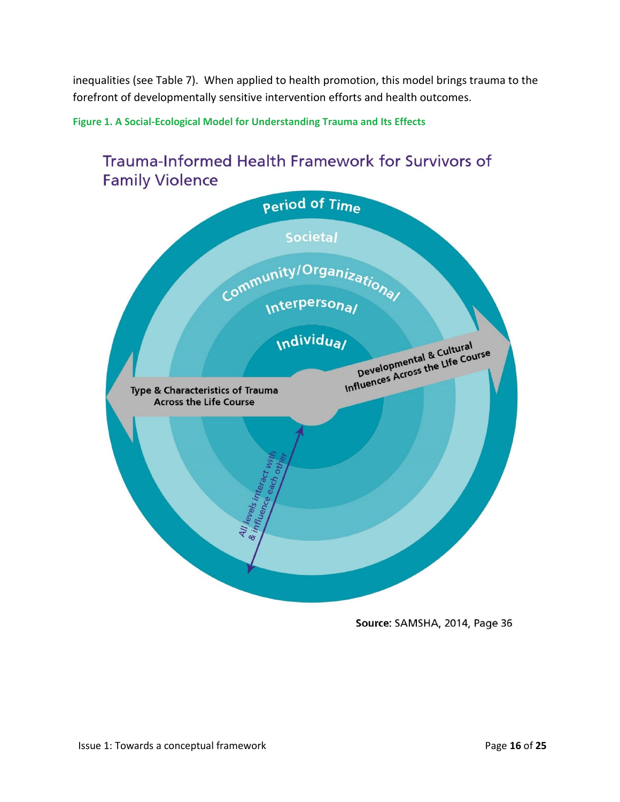inequalities (see Table 7). When applied to health promotion, this model brings trauma to the forefront of developmentally sensitive intervention efforts and health outcomes.

**Figure 1. A Social-Ecological Model for Understanding Trauma and Its Effects**



Source: SAMSHA, 2014, Page 36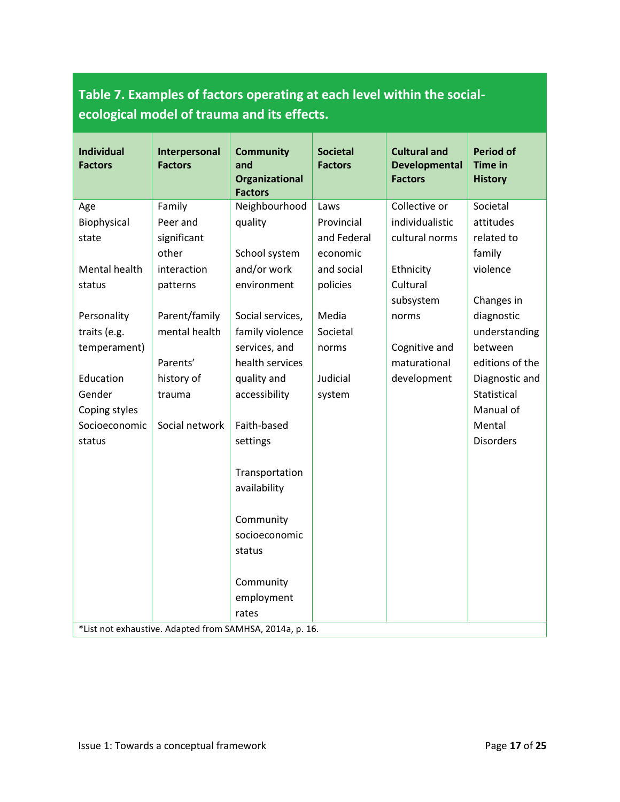## **Table 7. Examples of factors operating at each level within the socialecological model of trauma and its effects.**

| <b>Individual</b><br><b>Factors</b>                      | Interpersonal<br><b>Factors</b> | <b>Community</b><br>and<br>Organizational<br><b>Factors</b> | <b>Societal</b><br><b>Factors</b> | <b>Cultural and</b><br><b>Developmental</b><br><b>Factors</b> | <b>Period of</b><br><b>Time in</b><br><b>History</b> |
|----------------------------------------------------------|---------------------------------|-------------------------------------------------------------|-----------------------------------|---------------------------------------------------------------|------------------------------------------------------|
| Age                                                      | Family                          | Neighbourhood                                               | Laws                              | Collective or                                                 | Societal                                             |
| Biophysical                                              | Peer and                        | quality                                                     | Provincial                        | individualistic                                               | attitudes                                            |
| state                                                    | significant                     |                                                             | and Federal                       | cultural norms                                                | related to                                           |
|                                                          | other                           | School system                                               | economic                          |                                                               | family                                               |
| Mental health                                            | interaction                     | and/or work                                                 | and social                        | Ethnicity                                                     | violence                                             |
| status                                                   | patterns                        | environment                                                 | policies                          | Cultural                                                      |                                                      |
|                                                          |                                 |                                                             |                                   | subsystem                                                     | Changes in                                           |
| Personality                                              | Parent/family                   | Social services,                                            | Media                             | norms                                                         | diagnostic                                           |
| traits (e.g.                                             | mental health                   | family violence                                             | Societal                          |                                                               | understanding                                        |
| temperament)                                             |                                 | services, and                                               | norms                             | Cognitive and                                                 | between                                              |
|                                                          | Parents'                        | health services                                             |                                   | maturational                                                  | editions of the                                      |
| Education                                                | history of                      | quality and                                                 | Judicial                          | development                                                   | Diagnostic and                                       |
| Gender                                                   | trauma                          | accessibility                                               | system                            |                                                               | Statistical                                          |
| Coping styles                                            |                                 |                                                             |                                   |                                                               | Manual of                                            |
| Socioeconomic                                            | Social network                  | Faith-based                                                 |                                   |                                                               | Mental                                               |
| status                                                   |                                 | settings                                                    |                                   |                                                               | <b>Disorders</b>                                     |
|                                                          |                                 | Transportation<br>availability                              |                                   |                                                               |                                                      |
|                                                          |                                 | Community                                                   |                                   |                                                               |                                                      |
|                                                          |                                 | socioeconomic                                               |                                   |                                                               |                                                      |
|                                                          |                                 | status                                                      |                                   |                                                               |                                                      |
|                                                          |                                 | Community                                                   |                                   |                                                               |                                                      |
|                                                          |                                 | employment                                                  |                                   |                                                               |                                                      |
|                                                          |                                 | rates                                                       |                                   |                                                               |                                                      |
| *List not exhaustive. Adapted from SAMHSA, 2014a, p. 16. |                                 |                                                             |                                   |                                                               |                                                      |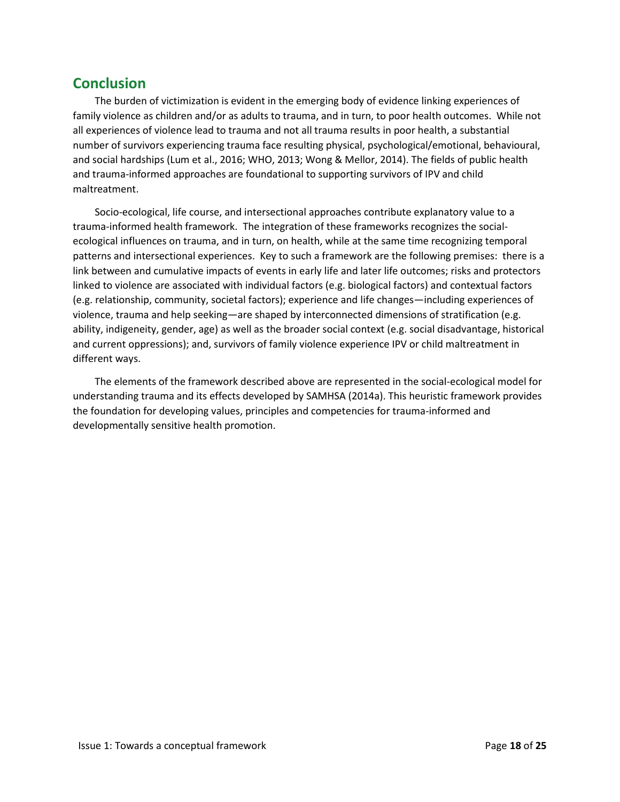## <span id="page-17-0"></span>**Conclusion**

The burden of victimization is evident in the emerging body of evidence linking experiences of family violence as children and/or as adults to trauma, and in turn, to poor health outcomes. While not all experiences of violence lead to trauma and not all trauma results in poor health, a substantial number of survivors experiencing trauma face resulting physical, psychological/emotional, behavioural, and social hardships (Lum et al., 2016; WHO, 2013; Wong & Mellor, 2014). The fields of public health and trauma-informed approaches are foundational to supporting survivors of IPV and child maltreatment.

Socio-ecological, life course, and intersectional approaches contribute explanatory value to a trauma-informed health framework. The integration of these frameworks recognizes the socialecological influences on trauma, and in turn, on health, while at the same time recognizing temporal patterns and intersectional experiences. Key to such a framework are the following premises: there is a link between and cumulative impacts of events in early life and later life outcomes; risks and protectors linked to violence are associated with individual factors (e.g. biological factors) and contextual factors (e.g. relationship, community, societal factors); experience and life changes—including experiences of violence, trauma and help seeking—are shaped by interconnected dimensions of stratification (e.g. ability, indigeneity, gender, age) as well as the broader social context (e.g. social disadvantage, historical and current oppressions); and, survivors of family violence experience IPV or child maltreatment in different ways.

The elements of the framework described above are represented in the social-ecological model for understanding trauma and its effects developed by SAMHSA (2014a). This heuristic framework provides the foundation for developing values, principles and competencies for trauma-informed and developmentally sensitive health promotion.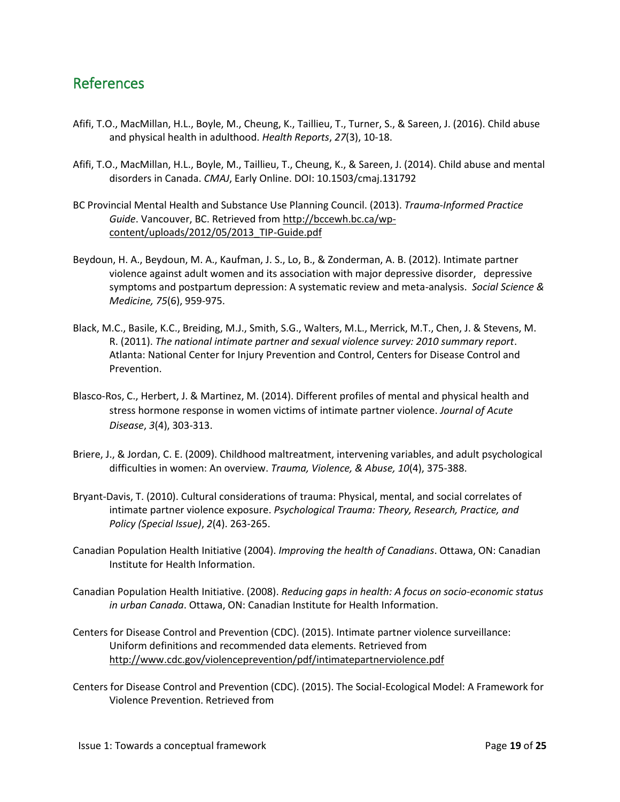## <span id="page-18-0"></span>References

- Afifi, T.O., MacMillan, H.L., Boyle, M., Cheung, K., Taillieu, T., Turner, S., & Sareen, J. (2016). Child abuse and physical health in adulthood. *Health Reports*, *27*(3), 10-18.
- Afifi, T.O., MacMillan, H.L., Boyle, M., Taillieu, T., Cheung, K., & Sareen, J. (2014). Child abuse and mental disorders in Canada. *CMAJ*, Early Online. DOI: 10.1503/cmaj.131792
- BC Provincial Mental Health and Substance Use Planning Council. (2013). *Trauma-Informed Practice Guide*. Vancouver, BC. Retrieved from [http://bccewh.bc.ca/wp](http://bccewh.bc.ca/wp-content/uploads/2012/05/2013_TIP-Guide.pdf)[content/uploads/2012/05/2013\\_TIP-Guide.pdf](http://bccewh.bc.ca/wp-content/uploads/2012/05/2013_TIP-Guide.pdf)
- Beydoun, H. A., Beydoun, M. A., Kaufman, J. S., Lo, B., & Zonderman, A. B. (2012). Intimate partner violence against adult women and its association with major depressive disorder, depressive symptoms and postpartum depression: A systematic review and meta-analysis. *Social Science & Medicine, 75*(6), 959-975.
- Black, M.C., Basile, K.C., Breiding, M.J., Smith, S.G., Walters, M.L., Merrick, M.T., Chen, J. & Stevens, M. R. (2011). *The national intimate partner and sexual violence survey: 2010 summary report*. Atlanta: National Center for Injury Prevention and Control, Centers for Disease Control and Prevention.
- Blasco-Ros, C., Herbert, J. & Martinez, M. (2014). Different profiles of mental and physical health and stress hormone response in women victims of intimate partner violence. *Journal of Acute Disease*, *3*(4), 303-313.
- Briere, J., & Jordan, C. E. (2009). Childhood maltreatment, intervening variables, and adult psychological difficulties in women: An overview. *Trauma, Violence, & Abuse, 10*(4), 375-388.
- Bryant-Davis, T. (2010). Cultural considerations of trauma: Physical, mental, and social correlates of intimate partner violence exposure. *Psychological Trauma: Theory, Research, Practice, and Policy (Special Issue)*, *2*(4). 263-265.
- Canadian Population Health Initiative (2004). *Improving the health of Canadians*. Ottawa, ON: Canadian Institute for Health Information.
- Canadian Population Health Initiative. (2008). *Reducing gaps in health: A focus on socio-economic status in urban Canada*. Ottawa, ON: Canadian Institute for Health Information.
- Centers for Disease Control and Prevention (CDC). (2015). Intimate partner violence surveillance: Uniform definitions and recommended data elements. Retrieved from <http://www.cdc.gov/violenceprevention/pdf/intimatepartnerviolence.pdf>
- Centers for Disease Control and Prevention (CDC). (2015). The Social-Ecological Model: A Framework for Violence Prevention. Retrieved from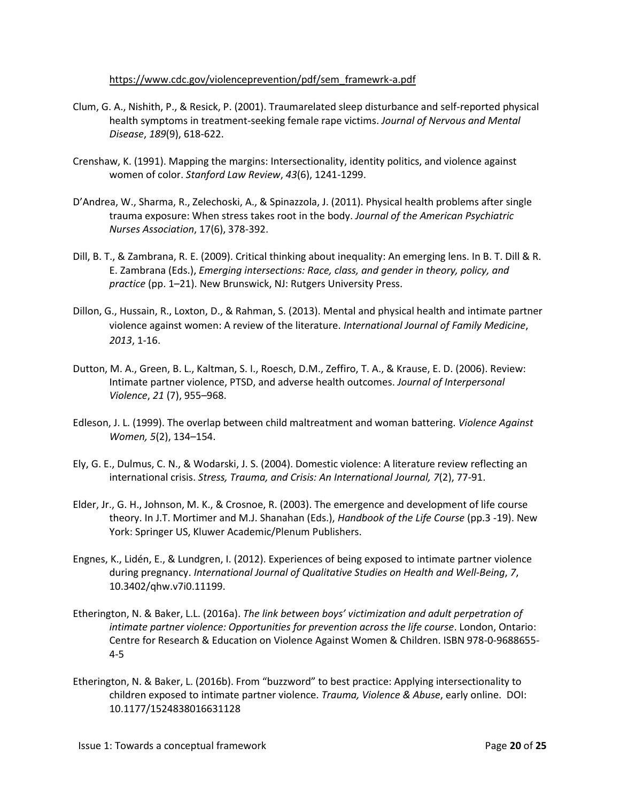#### [https://www.cdc.gov/violenceprevention/pdf/sem\\_framewrk-a.pdf](https://www.cdc.gov/violenceprevention/pdf/sem_framewrk-a.pdf)

- Clum, G. A., Nishith, P., & Resick, P. (2001). Traumarelated sleep disturbance and self-reported physical health symptoms in treatment-seeking female rape victims. *Journal of Nervous and Mental Disease*, *189*(9), 618-622.
- Crenshaw, K. (1991). Mapping the margins: Intersectionality, identity politics, and violence against women of color. *Stanford Law Review*, *43*(6), 1241-1299.
- D'Andrea, W., Sharma, R., Zelechoski, A., & Spinazzola, J. (2011). Physical health problems after single trauma exposure: When stress takes root in the body. *Journal of the American Psychiatric Nurses Association*, 17(6), 378-392.
- Dill, B. T., & Zambrana, R. E. (2009). Critical thinking about inequality: An emerging lens. In B. T. Dill & R. E. Zambrana (Eds.), *Emerging intersections: Race, class, and gender in theory, policy, and practice* (pp. 1–21). New Brunswick, NJ: Rutgers University Press.
- Dillon, G., Hussain, R., Loxton, D., & Rahman, S. (2013). Mental and physical health and intimate partner violence against women: A review of the literature. *International Journal of Family Medicine*, *2013*, 1-16.
- Dutton, M. A., Green, B. L., Kaltman, S. I., Roesch, D.M., Zeffiro, T. A., & Krause, E. D. (2006). Review: Intimate partner violence, PTSD, and adverse health outcomes. *Journal of Interpersonal Violence*, *21* (7), 955–968.
- Edleson, J. L. (1999). The overlap between child maltreatment and woman battering. *Violence Against Women, 5*(2), 134–154.
- Ely, G. E., Dulmus, C. N., & Wodarski, J. S. (2004). Domestic violence: A literature review reflecting an international crisis. *Stress, Trauma, and Crisis: An International Journal, 7*(2), 77-91.
- Elder, Jr., G. H., Johnson, M. K., & Crosnoe, R. (2003). The emergence and development of life course theory. In J.T. Mortimer and M.J. Shanahan (Eds.), *Handbook of the Life Course* (pp.3 -19). New York: Springer US, Kluwer Academic/Plenum Publishers.
- Engnes, K., Lidén, E., & Lundgren, I. (2012). Experiences of being exposed to intimate partner violence during pregnancy. *International Journal of Qualitative Studies on Health and Well-Being*, *7*, 10.3402/qhw.v7i0.11199.
- Etherington, N. & Baker, L.L. (2016a). *The link between boys' victimization and adult perpetration of intimate partner violence: Opportunities for prevention across the life course*. London, Ontario: Centre for Research & Education on Violence Against Women & Children. ISBN 978-0-9688655- 4-5
- Etherington, N. & Baker, L. (2016b). From "buzzword" to best practice: Applying intersectionality to children exposed to intimate partner violence. *Trauma, Violence & Abuse*, early online. DOI: 10.1177/1524838016631128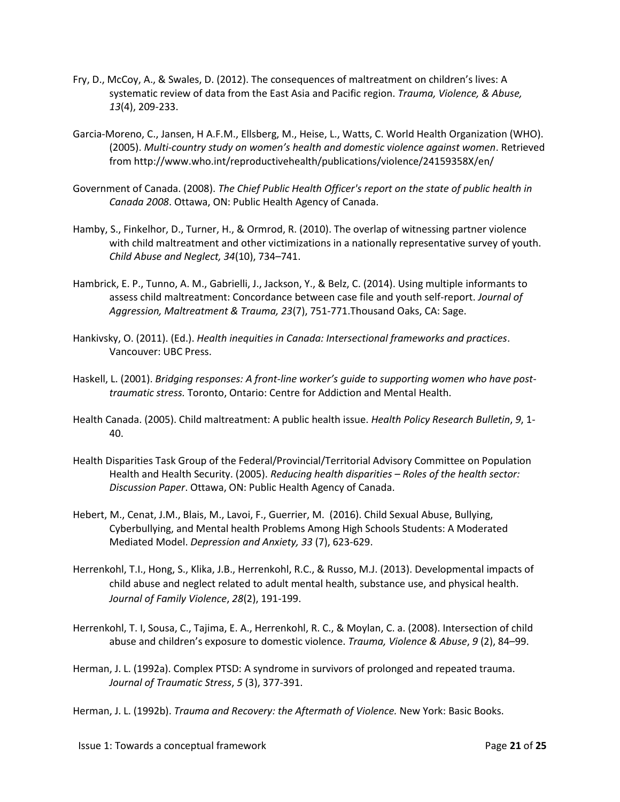- Fry, D., McCoy, A., & Swales, D. (2012). The consequences of maltreatment on children's lives: A systematic review of data from the East Asia and Pacific region. *Trauma, Violence, & Abuse, 13*(4), 209-233.
- Garcia-Moreno, C., Jansen, H A.F.M., Ellsberg, M., Heise, L., Watts, C. World Health Organization (WHO). (2005). *Multi-country study on women's health and domestic violence against women*. Retrieved from http://www.who.int/reproductivehealth/publications/violence/24159358X/en/
- Government of Canada. (2008). *The Chief Public Health Officer's report on the state of public health in Canada 2008*. Ottawa, ON: Public Health Agency of Canada.
- Hamby, S., Finkelhor, D., Turner, H., & Ormrod, R. (2010). The overlap of witnessing partner violence with child maltreatment and other victimizations in a nationally representative survey of youth. *Child Abuse and Neglect, 34*(10), 734–741.
- Hambrick, E. P., Tunno, A. M., Gabrielli, J., Jackson, Y., & Belz, C. (2014). Using multiple informants to assess child maltreatment: Concordance between case file and youth self-report. *Journal of Aggression, Maltreatment & Trauma, 23*(7), 751-771.Thousand Oaks, CA: Sage.
- Hankivsky, O. (2011). (Ed.). *Health inequities in Canada: Intersectional frameworks and practices*. Vancouver: UBC Press.
- Haskell, L. (2001). *Bridging responses: A front-line worker's guide to supporting women who have posttraumatic stress.* Toronto, Ontario: Centre for Addiction and Mental Health.
- Health Canada. (2005). Child maltreatment: A public health issue. *Health Policy Research Bulletin*, *9*, 1- 40.
- Health Disparities Task Group of the Federal/Provincial/Territorial Advisory Committee on Population Health and Health Security. (2005). *Reducing health disparities – Roles of the health sector: Discussion Paper*. Ottawa, ON: Public Health Agency of Canada.
- Hebert, M., Cenat, J.M., Blais, M., Lavoi, F., Guerrier, M. (2016). Child Sexual Abuse, Bullying, Cyberbullying, and Mental health Problems Among High Schools Students: A Moderated Mediated Model. *Depression and Anxiety, 33* (7), 623-629.
- Herrenkohl, T.I., Hong, S., Klika, J.B., Herrenkohl, R.C., & Russo, M.J. (2013). Developmental impacts of child abuse and neglect related to adult mental health, substance use, and physical health. *Journal of Family Violence*, *28*(2), 191-199.
- Herrenkohl, T. I, Sousa, C., Tajima, E. A., Herrenkohl, R. C., & Moylan, C. a. (2008). Intersection of child abuse and children's exposure to domestic violence. *Trauma, Violence & Abuse*, *9* (2), 84–99.
- Herman, J. L. (1992a). Complex PTSD: A syndrome in survivors of prolonged and repeated trauma. *Journal of Traumatic Stress*, *5* (3), 377-391.

Herman, J. L. (1992b). *Trauma and Recovery: the Aftermath of Violence.* New York: Basic Books.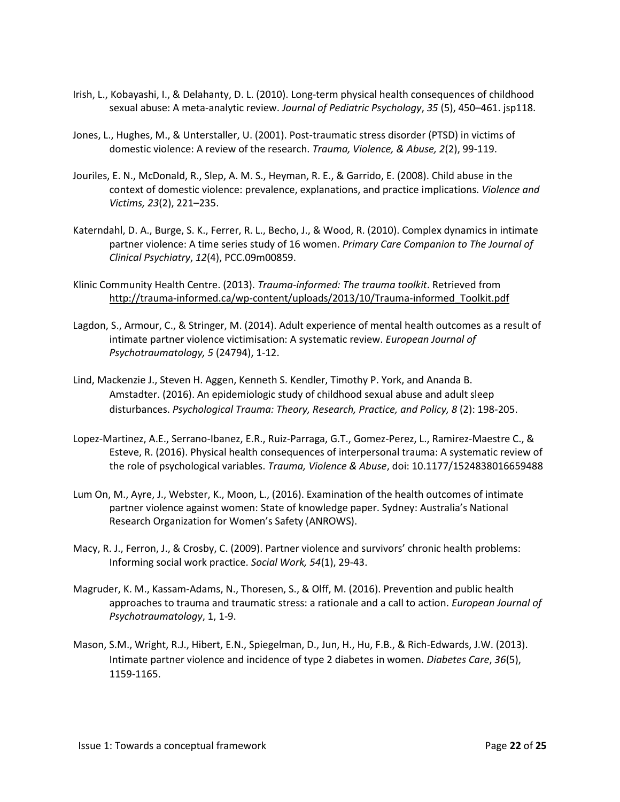- Irish, L., Kobayashi, I., & Delahanty, D. L. (2010). Long-term physical health consequences of childhood sexual abuse: A meta-analytic review. *Journal of Pediatric Psychology*, *35* (5), 450–461. jsp118.
- Jones, L., Hughes, M., & Unterstaller, U. (2001). Post-traumatic stress disorder (PTSD) in victims of domestic violence: A review of the research. *Trauma, Violence, & Abuse, 2*(2), 99-119.
- Jouriles, E. N., McDonald, R., Slep, A. M. S., Heyman, R. E., & Garrido, E. (2008). Child abuse in the context of domestic violence: prevalence, explanations, and practice implications. *Violence and Victims, 23*(2), 221–235.
- Katerndahl, D. A., Burge, S. K., Ferrer, R. L., Becho, J., & Wood, R. (2010). Complex dynamics in intimate partner violence: A time series study of 16 women. *Primary Care Companion to The Journal of Clinical Psychiatry*, *12*(4), PCC.09m00859.
- Klinic Community Health Centre. (2013). *Trauma-informed: The trauma toolkit*. Retrieved from [http://trauma-informed.ca/wp-content/uploads/2013/10/Trauma-informed\\_Toolkit.pdf](http://trauma-informed.ca/wp-content/uploads/2013/10/Trauma-informed_Toolkit.pdf)
- Lagdon, S., Armour, C., & Stringer, M. (2014). Adult experience of mental health outcomes as a result of intimate partner violence victimisation: A systematic review. *European Journal of Psychotraumatology, 5* (24794), 1-12.
- Lind, Mackenzie J., Steven H. Aggen, Kenneth S. Kendler, Timothy P. York, and Ananda B. Amstadter. (2016). An epidemiologic study of childhood sexual abuse and adult sleep disturbances. *Psychological Trauma: Theory, Research, Practice, and Policy, 8* (2): 198-205.
- Lopez-Martinez, A.E., Serrano-Ibanez, E.R., Ruiz-Parraga, G.T., Gomez-Perez, L., Ramirez-Maestre C., & Esteve, R. (2016). Physical health consequences of interpersonal trauma: A systematic review of the role of psychological variables. *Trauma, Violence & Abuse*, doi: 10.1177/1524838016659488
- Lum On, M., Ayre, J., Webster, K., Moon, L., (2016). Examination of the health outcomes of intimate partner violence against women: State of knowledge paper. Sydney: Australia's National Research Organization for Women's Safety (ANROWS).
- Macy, R. J., Ferron, J., & Crosby, C. (2009). Partner violence and survivors' chronic health problems: Informing social work practice. *Social Work, 54*(1), 29-43.
- Magruder, K. M., Kassam-Adams, N., Thoresen, S., & Olff, M. (2016). Prevention and public health approaches to trauma and traumatic stress: a rationale and a call to action. *European Journal of Psychotraumatology*, 1, 1-9.
- Mason, S.M., Wright, R.J., Hibert, E.N., Spiegelman, D., Jun, H., Hu, F.B., & Rich-Edwards, J.W. (2013). Intimate partner violence and incidence of type 2 diabetes in women. *Diabetes Care*, *36*(5), 1159-1165.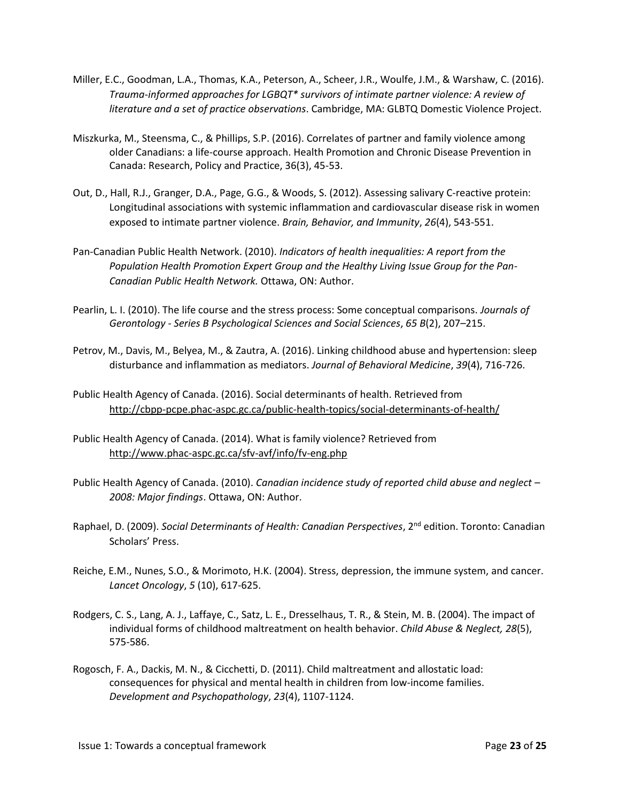- Miller, E.C., Goodman, L.A., Thomas, K.A., Peterson, A., Scheer, J.R., Woulfe, J.M., & Warshaw, C. (2016). *Trauma-informed approaches for LGBQT\* survivors of intimate partner violence: A review of literature and a set of practice observations*. Cambridge, MA: GLBTQ Domestic Violence Project.
- Miszkurka, M., Steensma, C., & Phillips, S.P. (2016). Correlates of partner and family violence among older Canadians: a life-course approach. Health Promotion and Chronic Disease Prevention in Canada: Research, Policy and Practice, 36(3), 45-53.
- Out, D., Hall, R.J., Granger, D.A., Page, G.G., & Woods, S. (2012). Assessing salivary C-reactive protein: Longitudinal associations with systemic inflammation and cardiovascular disease risk in women exposed to intimate partner violence. *Brain, Behavior, and Immunity*, *26*(4), 543-551.
- Pan-Canadian Public Health Network. (2010). *Indicators of health inequalities: A report from the Population Health Promotion Expert Group and the Healthy Living Issue Group for the Pan-Canadian Public Health Network.* Ottawa, ON: Author.
- Pearlin, L. I. (2010). The life course and the stress process: Some conceptual comparisons. *Journals of Gerontology - Series B Psychological Sciences and Social Sciences*, *65 B*(2), 207–215.
- Petrov, M., Davis, M., Belyea, M., & Zautra, A. (2016). Linking childhood abuse and hypertension: sleep disturbance and inflammation as mediators. *Journal of Behavioral Medicine*, *39*(4), 716-726.
- Public Health Agency of Canada. (2016). Social determinants of health. Retrieved from <http://cbpp-pcpe.phac-aspc.gc.ca/public-health-topics/social-determinants-of-health/>
- Public Health Agency of Canada. (2014). What is family violence? Retrieved from <http://www.phac-aspc.gc.ca/sfv-avf/info/fv-eng.php>
- Public Health Agency of Canada. (2010). *Canadian incidence study of reported child abuse and neglect – 2008: Major findings*. Ottawa, ON: Author.
- Raphael, D. (2009). *Social Determinants of Health: Canadian Perspectives*, 2<sup>nd</sup> edition. Toronto: Canadian Scholars' Press.
- Reiche, E.M., Nunes, S.O., & Morimoto, H.K. (2004). Stress, depression, the immune system, and cancer. *Lancet Oncology*, *5* (10), 617-625.
- Rodgers, C. S., Lang, A. J., Laffaye, C., Satz, L. E., Dresselhaus, T. R., & Stein, M. B. (2004). The impact of individual forms of childhood maltreatment on health behavior. *Child Abuse & Neglect, 28*(5), 575-586.
- Rogosch, F. A., Dackis, M. N., & Cicchetti, D. (2011). Child maltreatment and allostatic load: consequences for physical and mental health in children from low-income families. *Development and Psychopathology*, *23*(4), 1107-1124.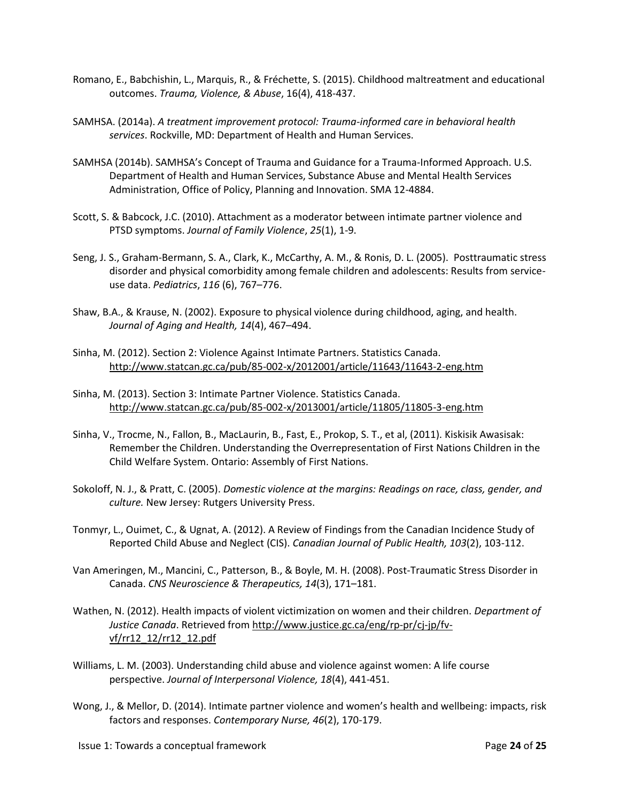- Romano, E., Babchishin, L., Marquis, R., & Fréchette, S. (2015). Childhood maltreatment and educational outcomes. *Trauma, Violence, & Abuse*, 16(4), 418-437.
- SAMHSA. (2014a). *A treatment improvement protocol: Trauma-informed care in behavioral health services*. Rockville, MD: Department of Health and Human Services.
- SAMHSA (2014b). SAMHSA's Concept of Trauma and Guidance for a Trauma-Informed Approach. U.S. Department of Health and Human Services, Substance Abuse and Mental Health Services Administration, Office of Policy, Planning and Innovation. SMA 12-4884.
- Scott, S. & Babcock, J.C. (2010). Attachment as a moderator between intimate partner violence and PTSD symptoms. *Journal of Family Violence*, *25*(1), 1-9.
- Seng, J. S., Graham-Bermann, S. A., Clark, K., McCarthy, A. M., & Ronis, D. L. (2005). Posttraumatic stress disorder and physical comorbidity among female children and adolescents: Results from serviceuse data. *Pediatrics*, *116* (6), 767–776.
- Shaw, B.A., & Krause, N. (2002). Exposure to physical violence during childhood, aging, and health. *Journal of Aging and Health, 14*(4), 467–494.
- Sinha, M. (2012). Section 2: Violence Against Intimate Partners. Statistics Canada. <http://www.statcan.gc.ca/pub/85-002-x/2012001/article/11643/11643-2-eng.htm>
- Sinha, M. (2013). Section 3: Intimate Partner Violence. Statistics Canada. <http://www.statcan.gc.ca/pub/85-002-x/2013001/article/11805/11805-3-eng.htm>
- Sinha, V., Trocme, N., Fallon, B., MacLaurin, B., Fast, E., Prokop, S. T., et al, (2011). Kiskisik Awasisak: Remember the Children. Understanding the Overrepresentation of First Nations Children in the Child Welfare System. Ontario: Assembly of First Nations.
- Sokoloff, N. J., & Pratt, C. (2005). *Domestic violence at the margins: Readings on race, class, gender, and culture.* New Jersey: Rutgers University Press.
- Tonmyr, L., Ouimet, C., & Ugnat, A. (2012). A Review of Findings from the Canadian Incidence Study of Reported Child Abuse and Neglect (CIS). *Canadian Journal of Public Health, 103*(2), 103-112.
- Van Ameringen, M., Mancini, C., Patterson, B., & Boyle, M. H. (2008). Post-Traumatic Stress Disorder in Canada. *CNS Neuroscience & Therapeutics, 14*(3), 171–181.
- Wathen, N. (2012). Health impacts of violent victimization on women and their children. *Department of Justice Canada*. Retrieved from [http://www.justice.gc.ca/eng/rp-pr/cj-jp/fv](http://www.justice.gc.ca/eng/rp-pr/cj-jp/fv-vf/rr12_12/rr12_12.pdf)[vf/rr12\\_12/rr12\\_12.pdf](http://www.justice.gc.ca/eng/rp-pr/cj-jp/fv-vf/rr12_12/rr12_12.pdf)
- Williams, L. M. (2003). Understanding child abuse and violence against women: A life course perspective. *Journal of Interpersonal Violence, 18*(4), 441-451.
- Wong, J., & Mellor, D. (2014). Intimate partner violence and women's health and wellbeing: impacts, risk factors and responses. *Contemporary Nurse, 46*(2), 170-179.